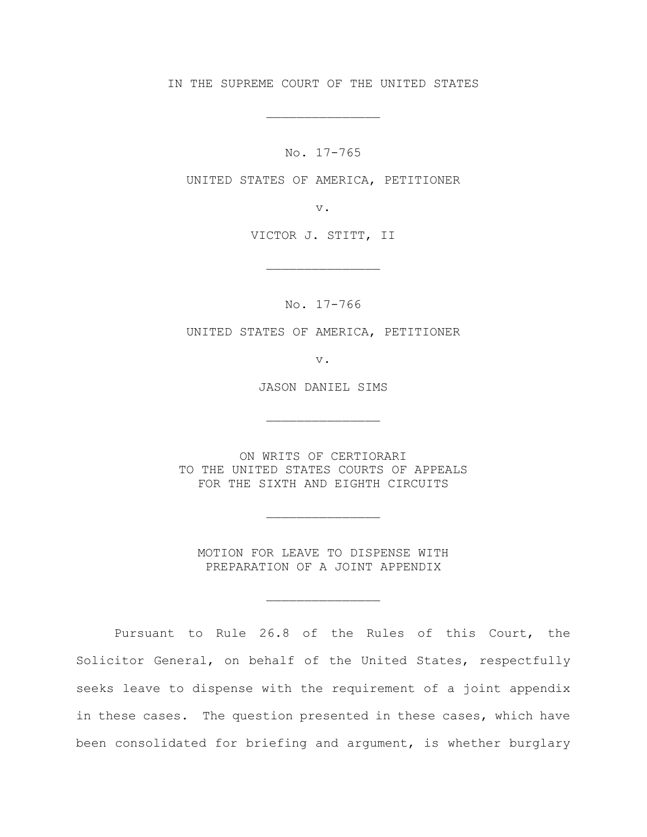IN THE SUPREME COURT OF THE UNITED STATES

\_\_\_\_\_\_\_\_\_\_\_\_\_\_\_

No. 17-765

UNITED STATES OF AMERICA, PETITIONER

v.

VICTOR J. STITT, II

\_\_\_\_\_\_\_\_\_\_\_\_\_\_\_

No. 17-766

UNITED STATES OF AMERICA, PETITIONER

v.

JASON DANIEL SIMS

\_\_\_\_\_\_\_\_\_\_\_\_\_\_\_

ON WRITS OF CERTIORARI TO THE UNITED STATES COURTS OF APPEALS FOR THE SIXTH AND EIGHTH CIRCUITS

\_\_\_\_\_\_\_\_\_\_\_\_\_\_\_

MOTION FOR LEAVE TO DISPENSE WITH PREPARATION OF A JOINT APPENDIX

\_\_\_\_\_\_\_\_\_\_\_\_\_\_\_

Pursuant to Rule 26.8 of the Rules of this Court, the Solicitor General, on behalf of the United States, respectfully seeks leave to dispense with the requirement of a joint appendix in these cases. The question presented in these cases, which have been consolidated for briefing and argument, is whether burglary